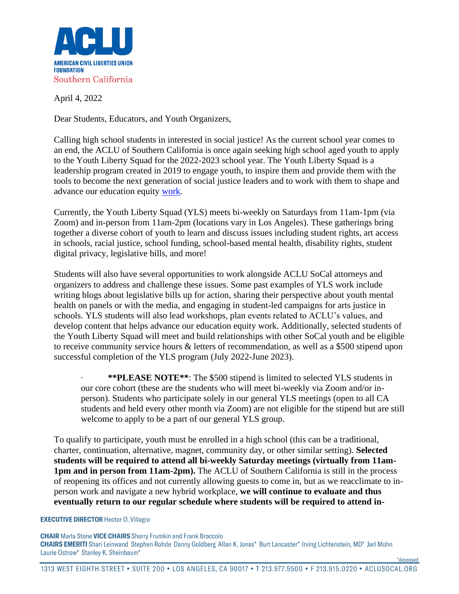

April 4, 2022

Dear Students, Educators, and Youth Organizers,

Calling high school students in interested in social justice! As the current school year comes to an end, the ACLU of Southern California is once again seeking high school aged youth to apply to the Youth Liberty Squad for the 2022-2023 school year. The Youth Liberty Squad is a leadership program created in 2019 to engage youth, to inspire them and provide them with the tools to become the next generation of social justice leaders and to work with them to shape and advance our education equity [work.](https://youtu.be/M2uV-Z-q864)

Currently, the Youth Liberty Squad (YLS) meets bi-weekly on Saturdays from 11am-1pm (via Zoom) and in-person from 11am-2pm (locations vary in Los Angeles). These gatherings bring together a diverse cohort of youth to learn and discuss issues including student rights, art access in schools, racial justice, school funding, school-based mental health, disability rights, student digital privacy, legislative bills, and more!

Students will also have several opportunities to work alongside ACLU SoCal attorneys and organizers to address and challenge these issues. Some past examples of YLS work include writing blogs about legislative bills up for action, sharing their perspective about youth mental health on panels or with the media, and engaging in student-led campaigns for arts justice in schools. YLS students will also lead workshops, plan events related to ACLU's values, and develop content that helps advance our education equity work. Additionally, selected students of the Youth Liberty Squad will meet and build relationships with other SoCal youth and be eligible to receive community service hours & letters of recommendation, as well as a \$500 stipend upon successful completion of the YLS program (July 2022-June 2023).

· **\*\*PLEASE NOTE\*\***: The \$500 stipend is limited to selected YLS students in our core cohort (these are the students who will meet bi-weekly via Zoom and/or inperson). Students who participate solely in our general YLS meetings (open to all CA students and held every other month via Zoom) are not eligible for the stipend but are still welcome to apply to be a part of our general YLS group.

To qualify to participate, youth must be enrolled in a high school (this can be a traditional, charter, continuation, alternative, magnet, community day, or other similar setting). **Selected students will be required to attend all bi-weekly Saturday meetings (virtually from 11am-1pm and in person from 11am-2pm).** The ACLU of Southern California is still in the process of reopening its offices and not currently allowing guests to come in, but as we reacclimate to inperson work and navigate a new hybrid workplace, **we will continue to evaluate and thus eventually return to our regular schedule where students will be required to attend in-**

## **EXECUTIVE DIRECTOR Hector O. Villagra**

**CHAIR** Marla Stone VICE CHAIRS Sherry Frumkin and Frank Broccolo CHAIRS EMERITI Shari Leinwand Stephen Rohde Danny Goldberg Allan K. Jonas\* Burt Lancaster\* Irving Lichtenstein, MD\* Jarl Mohn Laurie Ostrow\* Stanley K. Sheinbaum\*

\*deceased